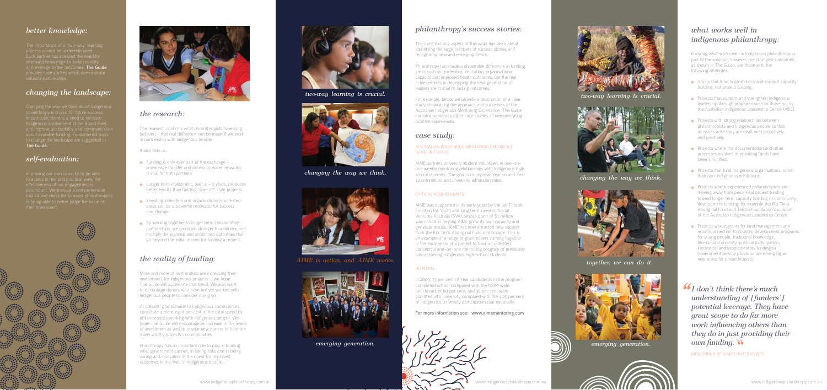# *the research:*

The research confirms what philanthropists have long believed - that real difference can be made if we work in partnership with Indigenous people.

It also tells us:

- $\bullet$  Funding is only ever part of the exchange  $\overline{\phantom{a}}$ knowledge transfer and access to wider networks is vital for both partners.
- **•** Longer term investment, over  $4 5$  years, produces better results than funding 'one-off' style projects.
- **Investing in leaders and organisations in untested** areas can be a powerful motivator for success and change.
- By working together in longer term collaborative partnerships, we can build stronger foundations and multiply the planned and unplanned outcomes that go beyond the initial reason for funding a project.

# *the reality of funding:*

More and more philanthropists are increasing their investments for Indigenous projects — we hope The Guide will accelerate that trend. We also want to encourage donors who have not yet worked with Indigenous people to consider doing so.

At present, grants made to Indigenous communities constitute a mere eight per cent of the total spend by philanthropists working with Indigenous people. We hope The Guide will encourage an increase in the levels of investment as well as inspire new donors to fund the many worthy projects in communities.

Philanthropy has an important role to play in funding what government cannot, in taking risks and in being daring and innovative in the quest for improved outcomes in the lives of Indigenous people.

# *better knowledge:*

process cannot be underestimated. Each partner has stressed the need for improved knowledge to build capacity and leverage better outcomes. **The Guide** provides case studies which demonstrate valuable partnerships.

# *changing the landscape:*

Indigenous involvement at the Board level, about available funding. Fundamental ways to change the landscape are suggested in The Guide.

## *self-evaluation:*

Improving our own capacity to be able paramount. We provide a comprehensive in being able to better judge the value of







## *philanthropy's success stories:*

The most exciting aspect of this work has been about identifying the large numbers of success stories and recognising new and emerging trends.

Philanthropy has made a discernible difference in funding areas such as leadership, education, organisational capacity and improved health outcomes, but the real achievements in developing the next generation of leaders are crucial to lasting outcomes.

- Grants that fund organisations and support capacity building, not project funding.
- Projects that support and strengthen Indigenous leadership through programs such as those run by the Australian Indigenous Leadership Centre (AILC).
- Projects with strong relationships between philanthropists and Indigenous people so that as issues arise they are dealt with proactively and positively.
- **•** Projects where the documentation and other processes involved in providing funds have been simplified.
- Projects that fund Indigenous organisations, rather than non-Indigenous institutions.
- Projects where experienced philanthropists are moving away from piecemeal project funding toward longer term capacity building or community development funding, for example the Rio Tinto Aboriginal Fund and Telstra Foundation's support of the Australian Indigenous Leadership Centre.
- Projects where grants for land management and return/connection to country, development programs for young people, traditional knowledge, bio-cultural diversity, political participation, innovation and supplementary funding to Government service provision are emerging as new areas for philanthropists.

For example, below we provide a description of a case study showcasing the approach and successes of the Australian Indigenous Mentoring Experience. The Guide contains numerous other case studies all demonstrating positive experiences.

# *case study:*

#### Australian Indigenous Mentoring Experience (AIME) Initiative:

AIME partners university student volunteers in one-onone weekly mentoring relationships with Indigenous high school students. The goal is to improve Year 10 and Year 12 completion and university admission rates.

### CRITICAL REQUIREMENTS:

AIME was supported in its early years by the Ian Thorpe Fountain for Youth and long term investor, Social Ventures Australia (SVA), whose grant of \$1 million was critical in helping AIME grow its own capacity and generate results. AIME has now attracted new support from the Rio Tinto Aboriginal Fund and Google. This is an example of a range of grantmakers coming together in the early years of a project to back an untested concept: a one-on-one mentoring program of previously low-achieving Indigenous high-school students.

## Outcome:

In 2009, 73 per cent of Year 12 students in the program completed school compared with the NSW-wide benchmark of 60 per cent, and 38 per cent were admitted into university compared with the 1.25 per cent of Indigenous university participation rate nationally.

For more information see: www.aimementoring.com



*two-way learning is crucial.*



*changing the way we think.*



*AIME is action, and AIME works.*



*emerging generation.*



# *what works well in indigenous philanthropy:*

Knowing what works well in Indigenous philanthropy is part of the solution, however, the strongest outcomes, as shown in The Guide, are those with the following attributes:

*two-way learning is crucial.*



*changing the way we think.*



*together, we can do it.*



*emerging generation.*



*I don't think there's much understanding of [funders'] potential leverage. They have great scope to do far more work influencing others than they do in just providing their own funding.*

Indigenous research interviewee